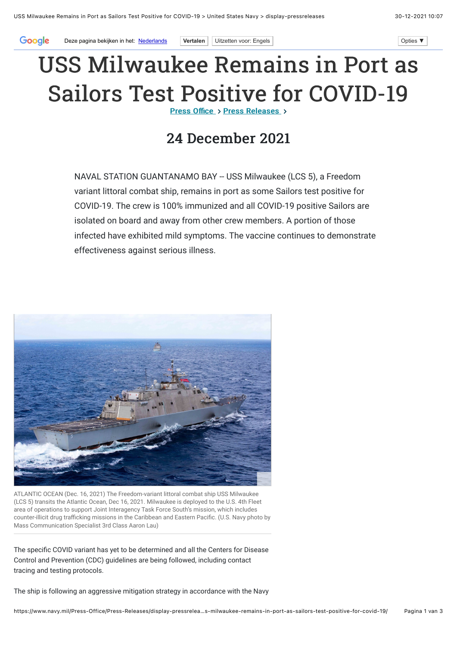## USS Milwaukee Remains in Port as Sailors Test Positive for COVID-19

Press Office  $\rightarrow$  Press Releases  $\rightarrow$ 

## 24 December 2021

NAVAL STATION GUANTANAMO BAY -- USS Milwaukee (LCS 5), a Freedom variant littoral combat ship, remains in port as some Sailors test positive for COVID-19. The crew is 100% immunized and all COVID-19 positive Sailors are isolated on board and away from other crew members. A portion of those infected have exhibited mild symptoms. The vaccine continues to demonstrate effectiveness against serious illness.



ATLANTIC OCEAN (Dec. 16, 2021) The Freedom-variant littoral combat ship USS Milwaukee (LCS 5) transits the Atlantic Ocean, Dec 16, 2021. Milwaukee is deployed to the U.S. 4th Fleet area of operations to support Joint Interagency Task Force South's mission, which includes counter-illicit drug trafficking missions in the Caribbean and Eastern Pacific. (U.S. Navy photo by Mass Communication Specialist 3rd Class Aaron Lau)

The specific COVID variant has yet to be determined and all the Centers for Disease Control and Prevention (CDC) guidelines are being followed, including contact tracing and testing protocols.

The ship is following an aggressive mitigation strategy in accordance with the Navy